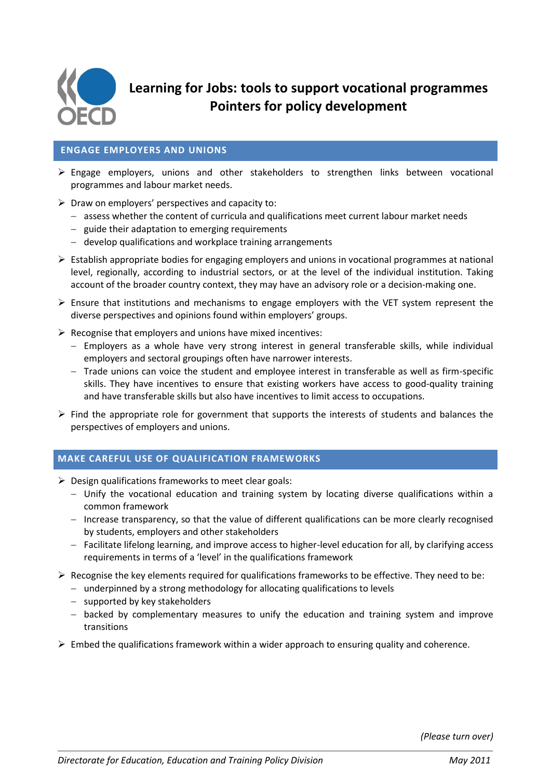

**Learning for Jobs: tools to support vocational programmes Pointers for policy development**

### **ENGAGE EMPLOYERS AND UNIONS**

- $\triangleright$  Engage employers, unions and other stakeholders to strengthen links between vocational programmes and labour market needs.
- $\triangleright$  Draw on employers' perspectives and capacity to:
	- $-$  assess whether the content of curricula and qualifications meet current labour market needs
	- $-$  guide their adaptation to emerging requirements
	- develop qualifications and workplace training arrangements
- $\triangleright$  Establish appropriate bodies for engaging employers and unions in vocational programmes at national level, regionally, according to industrial sectors, or at the level of the individual institution. Taking account of the broader country context, they may have an advisory role or a decision-making one.
- $\triangleright$  Ensure that institutions and mechanisms to engage employers with the VET system represent the diverse perspectives and opinions found within employers' groups.
- $\triangleright$  Recognise that employers and unions have mixed incentives:
	- Employers as a whole have very strong interest in general transferable skills, while individual employers and sectoral groupings often have narrower interests.
	- $-$  Trade unions can voice the student and employee interest in transferable as well as firm-specific skills. They have incentives to ensure that existing workers have access to good-quality training and have transferable skills but also have incentives to limit access to occupations.
- $\triangleright$  Find the appropriate role for government that supports the interests of students and balances the perspectives of employers and unions.

# **MAKE CAREFUL USE OF QUALIFICATION FRAMEWORKS**

- $\triangleright$  Design qualifications frameworks to meet clear goals:
	- Unify the vocational education and training system by locating diverse qualifications within a common framework
	- Increase transparency, so that the value of different qualifications can be more clearly recognised by students, employers and other stakeholders
	- $-$  Facilitate lifelong learning, and improve access to higher-level education for all, by clarifying access requirements in terms of a 'level' in the qualifications framework
- $\triangleright$  Recognise the key elements required for qualifications frameworks to be effective. They need to be:
	- underpinned by a strong methodology for allocating qualifications to levels
	- supported by key stakeholders
	- $-$  backed by complementary measures to unify the education and training system and improve transitions
- $\triangleright$  Embed the qualifications framework within a wider approach to ensuring quality and coherence.